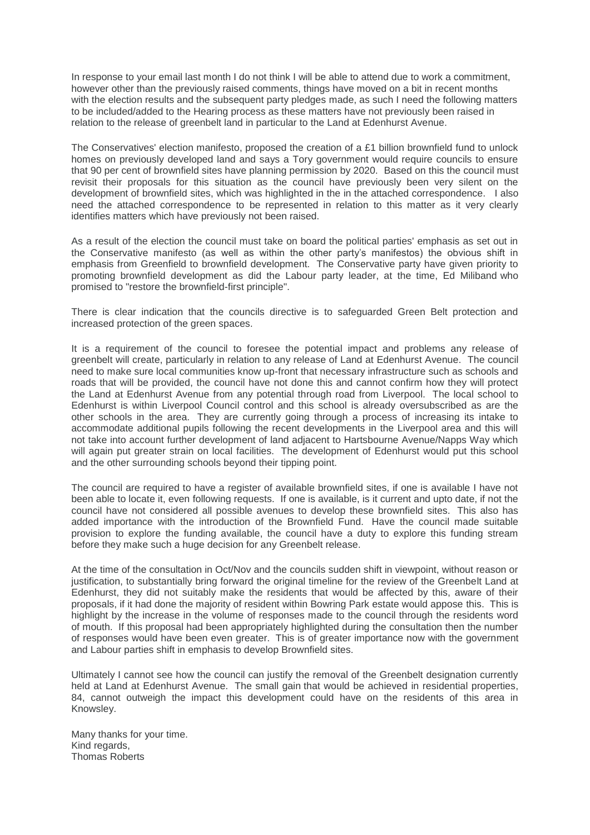In response to your email last month I do not think I will be able to attend due to work a commitment, however other than the previously raised comments, things have moved on a bit in recent months with the election results and the subsequent party pledges made, as such I need the following matters to be included/added to the Hearing process as these matters have not previously been raised in relation to the release of greenbelt land in particular to the Land at Edenhurst Avenue.

The Conservatives' election manifesto, proposed the creation of a £1 billion brownfield fund to unlock homes on previously developed land and says a Tory government would require councils to ensure that 90 per cent of brownfield sites have planning permission by 2020. Based on this the council must revisit their proposals for this situation as the council have previously been very silent on the development of brownfield sites, which was highlighted in the in the attached correspondence. I also need the attached correspondence to be represented in relation to this matter as it very clearly identifies matters which have previously not been raised.

As a result of the election the council must take on board the political parties' emphasis as set out in the Conservative manifesto (as well as within the other party's manifestos) the obvious shift in emphasis from Greenfield to brownfield development. The Conservative party have given priority to promoting brownfield development as did the Labour party leader, at the time, Ed Miliband who promised to "restore the brownfield-first principle".

There is clear indication that the councils directive is to safeguarded Green Belt protection and increased protection of the green spaces.

It is a requirement of the council to foresee the potential impact and problems any release of greenbelt will create, particularly in relation to any release of Land at Edenhurst Avenue. The council need to make sure local communities know up-front that necessary infrastructure such as schools and roads that will be provided, the council have not done this and cannot confirm how they will protect the Land at Edenhurst Avenue from any potential through road from Liverpool. The local school to Edenhurst is within Liverpool Council control and this school is already oversubscribed as are the other schools in the area. They are currently going through a process of increasing its intake to accommodate additional pupils following the recent developments in the Liverpool area and this will not take into account further development of land adjacent to Hartsbourne Avenue/Napps Way which will again put greater strain on local facilities. The development of Edenhurst would put this school and the other surrounding schools beyond their tipping point.

The council are required to have a register of available brownfield sites, if one is available I have not been able to locate it, even following requests. If one is available, is it current and upto date, if not the council have not considered all possible avenues to develop these brownfield sites. This also has added importance with the introduction of the Brownfield Fund. Have the council made suitable provision to explore the funding available, the council have a duty to explore this funding stream before they make such a huge decision for any Greenbelt release.

At the time of the consultation in Oct/Nov and the councils sudden shift in viewpoint, without reason or justification, to substantially bring forward the original timeline for the review of the Greenbelt Land at Edenhurst, they did not suitably make the residents that would be affected by this, aware of their proposals, if it had done the majority of resident within Bowring Park estate would appose this. This is highlight by the increase in the volume of responses made to the council through the residents word of mouth. If this proposal had been appropriately highlighted during the consultation then the number of responses would have been even greater. This is of greater importance now with the government and Labour parties shift in emphasis to develop Brownfield sites.

Ultimately I cannot see how the council can justify the removal of the Greenbelt designation currently held at Land at Edenhurst Avenue. The small gain that would be achieved in residential properties, 84, cannot outweigh the impact this development could have on the residents of this area in Knowsley.

Many thanks for your time. Kind regards, Thomas Roberts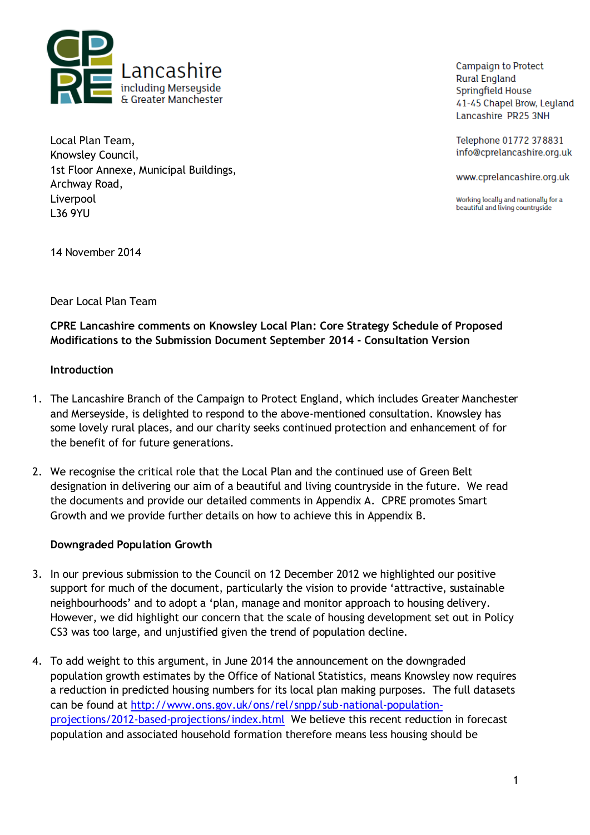

Local Plan Team, Knowsley Council, 1st Floor Annexe, Municipal Buildings, Archway Road, Liverpool L36 9YU

**Campaign to Protect Rural England** Springfield House 41-45 Chapel Brow, Leyland Lancashire PR25 3NH

Telephone 01772 378831 info@cprelancashire.org.uk

www.cprelancashire.org.uk

Working locally and nationally for a beautiful and living countryside

14 November 2014

Dear Local Plan Team

**CPRE Lancashire comments on Knowsley Local Plan: Core Strategy Schedule of Proposed Modifications to the Submission Document September 2014 - Consultation Version**

#### **Introduction**

- 1. The Lancashire Branch of the Campaign to Protect England, which includes Greater Manchester and Merseyside, is delighted to respond to the above-mentioned consultation. Knowsley has some lovely rural places, and our charity seeks continued protection and enhancement of for the benefit of for future generations.
- 2. We recognise the critical role that the Local Plan and the continued use of Green Belt designation in delivering our aim of a beautiful and living countryside in the future. We read the documents and provide our detailed comments in Appendix A. CPRE promotes Smart Growth and we provide further details on how to achieve this in Appendix B.

### **Downgraded Population Growth**

- 3. In our previous submission to the Council on 12 December 2012 we highlighted our positive support for much of the document, particularly the vision to provide 'attractive, sustainable neighbourhoods' and to adopt a 'plan, manage and monitor approach to housing delivery. However, we did highlight our concern that the scale of housing development set out in Policy CS3 was too large, and unjustified given the trend of population decline.
- 4. To add weight to this argument, in June 2014 the announcement on the downgraded population growth estimates by the Office of National Statistics, means Knowsley now requires a reduction in predicted housing numbers for its local plan making purposes. The full datasets can be found at [http://www.ons.gov.uk/ons/rel/snpp/sub-national-population](http://www.ons.gov.uk/ons/rel/snpp/sub-national-population-projections/2012-based-projections/index.html)[projections/2012-based-projections/index.html](http://www.ons.gov.uk/ons/rel/snpp/sub-national-population-projections/2012-based-projections/index.html) We believe this recent reduction in forecast population and associated household formation therefore means less housing should be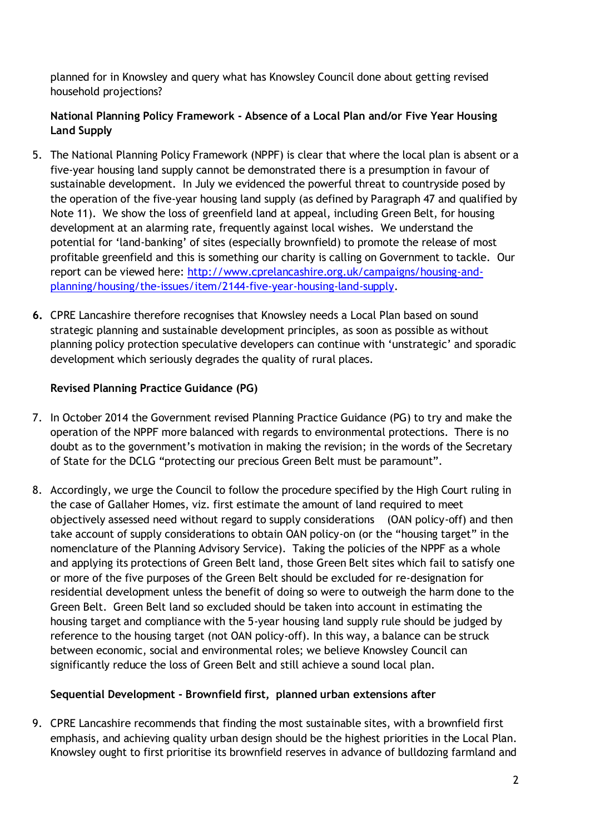planned for in Knowsley and query what has Knowsley Council done about getting revised household projections?

## **National Planning Policy Framework - Absence of a Local Plan and/or Five Year Housing Land Supply**

- 5. The National Planning Policy Framework (NPPF) is clear that where the local plan is absent or a five-year housing land supply cannot be demonstrated there is a presumption in favour of sustainable development. In July we evidenced the powerful threat to countryside posed by the operation of the five-year housing land supply (as defined by Paragraph 47 and qualified by Note 11). We show the loss of greenfield land at appeal, including Green Belt, for housing development at an alarming rate, frequently against local wishes. We understand the potential for 'land-banking' of sites (especially brownfield) to promote the release of most profitable greenfield and this is something our charity is calling on Government to tackle. Our report can be viewed here[: http://www.cprelancashire.org.uk/campaigns/housing-and](http://www.cprelancashire.org.uk/campaigns/housing-and-planning/housing/the-issues/item/2144-five-year-housing-land-supply)[planning/housing/the-issues/item/2144-five-year-housing-land-supply.](http://www.cprelancashire.org.uk/campaigns/housing-and-planning/housing/the-issues/item/2144-five-year-housing-land-supply)
- **6.** CPRE Lancashire therefore recognises that Knowsley needs a Local Plan based on sound strategic planning and sustainable development principles, as soon as possible as without planning policy protection speculative developers can continue with 'unstrategic' and sporadic development which seriously degrades the quality of rural places.

## **Revised Planning Practice Guidance (PG)**

- 7. In October 2014 the Government revised Planning Practice Guidance (PG) to try and make the operation of the NPPF more balanced with regards to environmental protections. There is no doubt as to the government's motivation in making the revision; in the words of the Secretary of State for the DCLG "protecting our precious Green Belt must be paramount".
- 8. Accordingly, we urge the Council to follow the procedure specified by the High Court ruling in the case of Gallaher Homes, viz. first estimate the amount of land required to meet objectively assessed need without regard to supply considerations (OAN policy-off) and then take account of supply considerations to obtain OAN policy-on (or the "housing target" in the nomenclature of the Planning Advisory Service). Taking the policies of the NPPF as a whole and applying its protections of Green Belt land, those Green Belt sites which fail to satisfy one or more of the five purposes of the Green Belt should be excluded for re-designation for residential development unless the benefit of doing so were to outweigh the harm done to the Green Belt. Green Belt land so excluded should be taken into account in estimating the housing target and compliance with the 5-year housing land supply rule should be judged by reference to the housing target (not OAN policy-off). In this way, a balance can be struck between economic, social and environmental roles; we believe Knowsley Council can significantly reduce the loss of Green Belt and still achieve a sound local plan.

# **Sequential Development - Brownfield first, planned urban extensions after**

9. CPRE Lancashire recommends that finding the most sustainable sites, with a brownfield first emphasis, and achieving quality urban design should be the highest priorities in the Local Plan. Knowsley ought to first prioritise its brownfield reserves in advance of bulldozing farmland and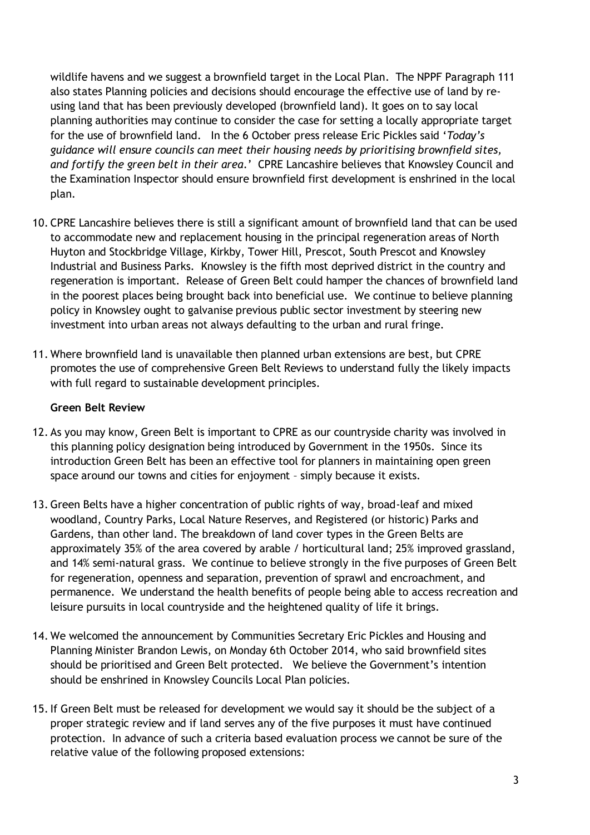wildlife havens and we suggest a brownfield target in the Local Plan. The NPPF Paragraph 111 also states Planning policies and decisions should encourage the effective use of land by reusing land that has been previously developed (brownfield land). It goes on to say local planning authorities may continue to consider the case for setting a locally appropriate target for the use of brownfield land. In the 6 October press release Eric Pickles said '*Today's guidance will ensure councils can meet their housing needs by prioritising brownfield sites, and fortify the green belt in their area.*' CPRE Lancashire believes that Knowsley Council and the Examination Inspector should ensure brownfield first development is enshrined in the local plan.

- 10. CPRE Lancashire believes there is still a significant amount of brownfield land that can be used to accommodate new and replacement housing in the principal regeneration areas of North Huyton and Stockbridge Village, Kirkby, Tower Hill, Prescot, South Prescot and Knowsley Industrial and Business Parks. Knowsley is the fifth most deprived district in the country and regeneration is important. Release of Green Belt could hamper the chances of brownfield land in the poorest places being brought back into beneficial use. We continue to believe planning policy in Knowsley ought to galvanise previous public sector investment by steering new investment into urban areas not always defaulting to the urban and rural fringe.
- 11. Where brownfield land is unavailable then planned urban extensions are best, but CPRE promotes the use of comprehensive Green Belt Reviews to understand fully the likely impacts with full regard to sustainable development principles.

### **Green Belt Review**

- 12. As you may know, Green Belt is important to CPRE as our countryside charity was involved in this planning policy designation being introduced by Government in the 1950s. Since its introduction Green Belt has been an effective tool for planners in maintaining open green space around our towns and cities for enjoyment – simply because it exists.
- 13.Green Belts have a higher concentration of public rights of way, broad-leaf and mixed woodland, Country Parks, Local Nature Reserves, and Registered (or historic) Parks and Gardens, than other land. The breakdown of land cover types in the Green Belts are approximately 35% of the area covered by arable / horticultural land; 25% improved grassland, and 14% semi-natural grass. We continue to believe strongly in the five purposes of Green Belt for regeneration, openness and separation, prevention of sprawl and encroachment, and permanence. We understand the health benefits of people being able to access recreation and leisure pursuits in local countryside and the heightened quality of life it brings.
- 14. We welcomed the announcement by Communities Secretary Eric Pickles and Housing and Planning Minister Brandon Lewis, on Monday 6th October 2014, who said brownfield sites should be prioritised and Green Belt protected. We believe the Government's intention should be enshrined in Knowsley Councils Local Plan policies.
- 15.If Green Belt must be released for development we would say it should be the subject of a proper strategic review and if land serves any of the five purposes it must have continued protection. In advance of such a criteria based evaluation process we cannot be sure of the relative value of the following proposed extensions: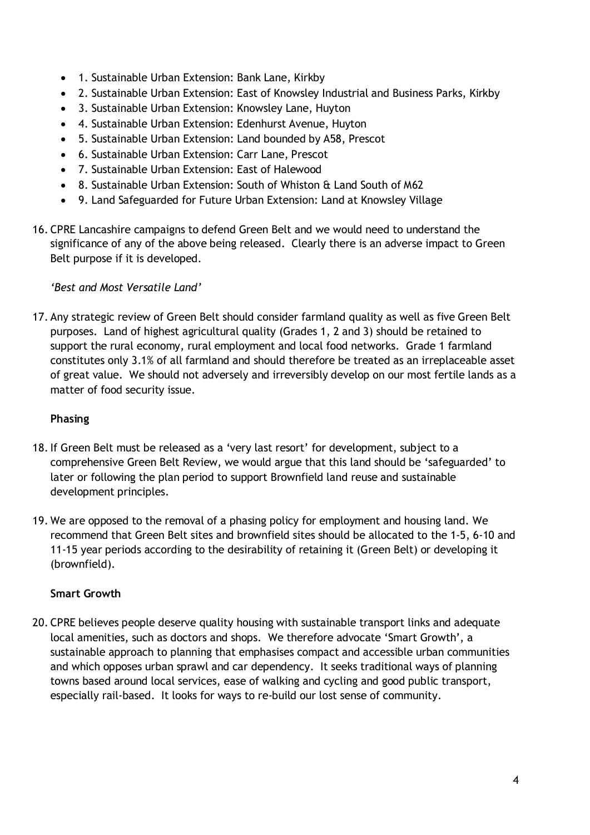- 1. Sustainable Urban Extension: Bank Lane, Kirkby
- 2. Sustainable Urban Extension: East of Knowsley Industrial and Business Parks, Kirkby
- 3. Sustainable Urban Extension: Knowsley Lane, Huyton
- 4. Sustainable Urban Extension: Edenhurst Avenue, Huyton
- 5. Sustainable Urban Extension: Land bounded by A58, Prescot
- 6. Sustainable Urban Extension: Carr Lane, Prescot
- 7. Sustainable Urban Extension: East of Halewood
- 8. Sustainable Urban Extension: South of Whiston & Land South of M62
- 9. Land Safeguarded for Future Urban Extension: Land at Knowsley Village
- 16. CPRE Lancashire campaigns to defend Green Belt and we would need to understand the significance of any of the above being released. Clearly there is an adverse impact to Green Belt purpose if it is developed.

### *'Best and Most Versatile Land'*

17. Any strategic review of Green Belt should consider farmland quality as well as five Green Belt purposes. Land of highest agricultural quality (Grades 1, 2 and 3) should be retained to support the rural economy, rural employment and local food networks. Grade 1 farmland constitutes only 3.1% of all farmland and should therefore be treated as an irreplaceable asset of great value. We should not adversely and irreversibly develop on our most fertile lands as a matter of food security issue.

#### **Phasing**

- 18.If Green Belt must be released as a 'very last resort' for development, subject to a comprehensive Green Belt Review, we would argue that this land should be 'safeguarded' to later or following the plan period to support Brownfield land reuse and sustainable development principles.
- 19. We are opposed to the removal of a phasing policy for employment and housing land. We recommend that Green Belt sites and brownfield sites should be allocated to the 1-5, 6-10 and 11-15 year periods according to the desirability of retaining it (Green Belt) or developing it (brownfield).

### **Smart Growth**

20. CPRE believes people deserve quality housing with sustainable transport links and adequate local amenities, such as doctors and shops. We therefore advocate 'Smart Growth', a sustainable approach to planning that emphasises compact and accessible urban communities and which opposes urban sprawl and car dependency. It seeks traditional ways of planning towns based around local services, ease of walking and cycling and good public transport, especially rail-based. It looks for ways to re-build our lost sense of community.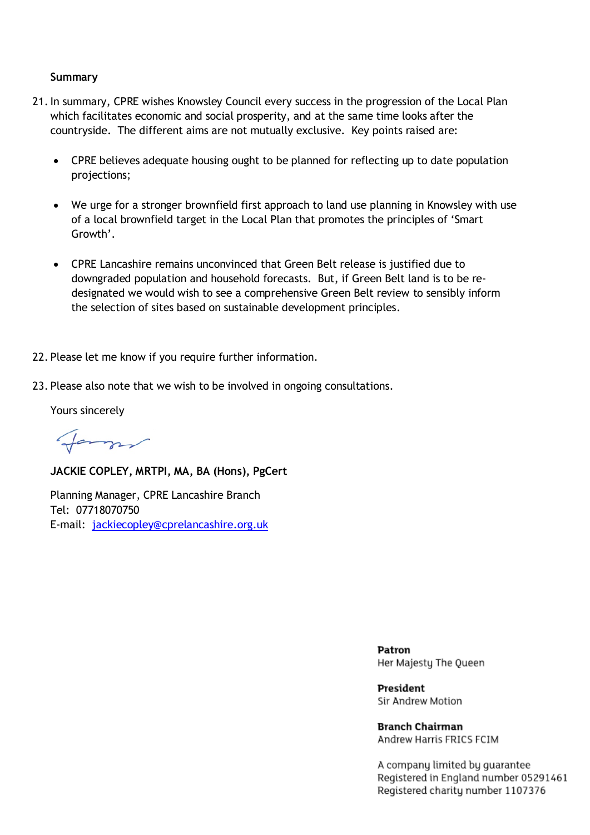#### **Summary**

- 21.In summary, CPRE wishes Knowsley Council every success in the progression of the Local Plan which facilitates economic and social prosperity, and at the same time looks after the countryside. The different aims are not mutually exclusive. Key points raised are:
	- CPRE believes adequate housing ought to be planned for reflecting up to date population projections;
	- We urge for a stronger brownfield first approach to land use planning in Knowsley with use of a local brownfield target in the Local Plan that promotes the principles of 'Smart Growth'.
	- CPRE Lancashire remains unconvinced that Green Belt release is justified due to downgraded population and household forecasts. But, if Green Belt land is to be redesignated we would wish to see a comprehensive Green Belt review to sensibly inform the selection of sites based on sustainable development principles.
- 22. Please let me know if you require further information.
- 23. Please also note that we wish to be involved in ongoing consultations.

Yours sincerely

farm

**JACKIE COPLEY, MRTPI, MA, BA (Hons), PgCert**

Planning Manager, CPRE Lancashire Branch Tel: 07718070750 E-mail: [jackiecopley@cprelancashire.org.uk](mailto:jackiecopley@cprelancashire.org.uk)

> Patron Her Majesty The Queen

President Sir Andrew Motion

**Branch Chairman** Andrew Harris FRICS FCIM

A company limited by guarantee Registered in England number 05291461<br>Registered charity number 1107376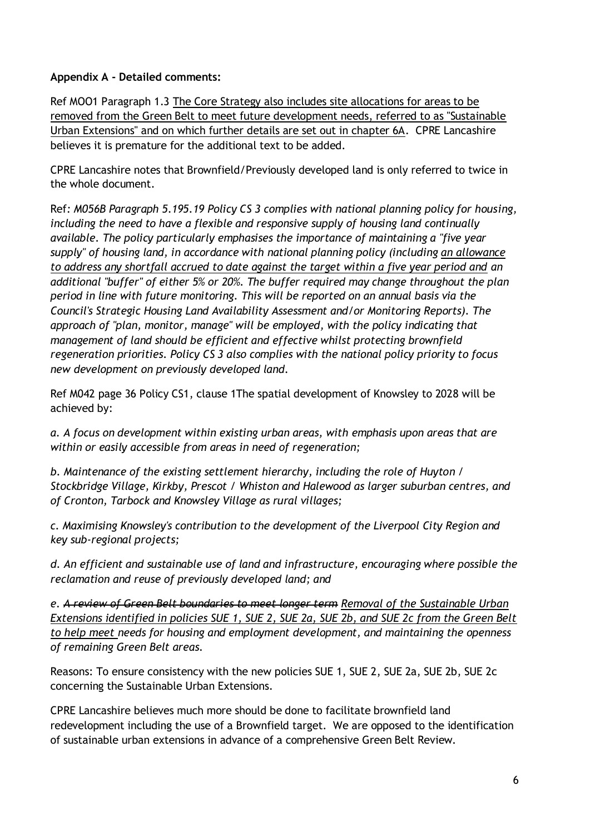### **Appendix A - Detailed comments:**

Ref MOO1 Paragraph 1.3 The Core Strategy also includes site allocations for areas to be removed from the Green Belt to meet future development needs, referred to as "Sustainable Urban Extensions" and on which further details are set out in chapter 6A. CPRE Lancashire believes it is premature for the additional text to be added.

CPRE Lancashire notes that Brownfield/Previously developed land is only referred to twice in the whole document.

Ref*: M056B Paragraph 5.195.19 Policy CS 3 complies with national planning policy for housing, including the need to have a flexible and responsive supply of housing land continually available. The policy particularly emphasises the importance of maintaining a "five year supply" of housing land, in accordance with national planning policy (including an allowance to address any shortfall accrued to date against the target within a five year period and an additional "buffer" of either 5% or 20%. The buffer required may change throughout the plan period in line with future monitoring. This will be reported on an annual basis via the Council's Strategic Housing Land Availability Assessment and/or Monitoring Reports). The approach of "plan, monitor, manage" will be employed, with the policy indicating that management of land should be efficient and effective whilst protecting brownfield regeneration priorities. Policy CS 3 also complies with the national policy priority to focus new development on previously developed land.*

Ref M042 page 36 Policy CS1, clause 1The spatial development of Knowsley to 2028 will be achieved by:

*a. A focus on development within existing urban areas, with emphasis upon areas that are within or easily accessible from areas in need of regeneration;*

*b. Maintenance of the existing settlement hierarchy, including the role of Huyton / Stockbridge Village, Kirkby, Prescot / Whiston and Halewood as larger suburban centres, and of Cronton, Tarbock and Knowsley Village as rural villages;*

*c. Maximising Knowsley's contribution to the development of the Liverpool City Region and key sub-regional projects;*

*d. An efficient and sustainable use of land and infrastructure, encouraging where possible the reclamation and reuse of previously developed land; and*

*e. A review of Green Belt boundaries to meet longer term Removal of the Sustainable Urban Extensions identified in policies SUE 1, SUE 2, SUE 2a, SUE 2b, and SUE 2c from the Green Belt to help meet needs for housing and employment development, and maintaining the openness of remaining Green Belt areas.*

Reasons: To ensure consistency with the new policies SUE 1, SUE 2, SUE 2a, SUE 2b, SUE 2c concerning the Sustainable Urban Extensions.

CPRE Lancashire believes much more should be done to facilitate brownfield land redevelopment including the use of a Brownfield target. We are opposed to the identification of sustainable urban extensions in advance of a comprehensive Green Belt Review.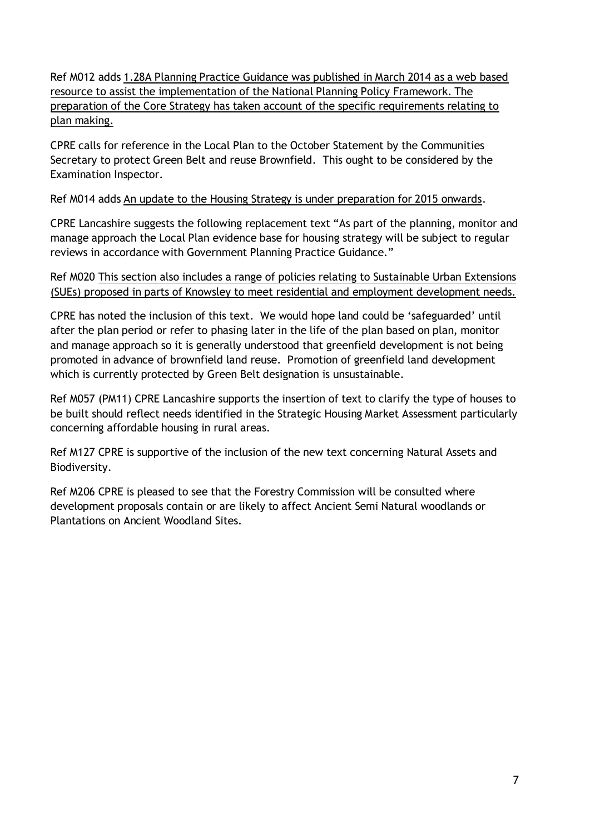Ref M012 adds 1.28A Planning Practice Guidance was published in March 2014 as a web based resource to assist the implementation of the National Planning Policy Framework. The preparation of the Core Strategy has taken account of the specific requirements relating to plan making.

CPRE calls for reference in the Local Plan to the October Statement by the Communities Secretary to protect Green Belt and reuse Brownfield. This ought to be considered by the Examination Inspector.

### Ref M014 adds An update to the Housing Strategy is under preparation for 2015 onwards.

CPRE Lancashire suggests the following replacement text "As part of the planning, monitor and manage approach the Local Plan evidence base for housing strategy will be subject to regular reviews in accordance with Government Planning Practice Guidance."

### Ref M020 This section also includes a range of policies relating to Sustainable Urban Extensions (SUEs) proposed in parts of Knowsley to meet residential and employment development needs.

CPRE has noted the inclusion of this text. We would hope land could be 'safeguarded' until after the plan period or refer to phasing later in the life of the plan based on plan, monitor and manage approach so it is generally understood that greenfield development is not being promoted in advance of brownfield land reuse. Promotion of greenfield land development which is currently protected by Green Belt designation is unsustainable.

Ref M057 (PM11) CPRE Lancashire supports the insertion of text to clarify the type of houses to be built should reflect needs identified in the Strategic Housing Market Assessment particularly concerning affordable housing in rural areas.

Ref M127 CPRE is supportive of the inclusion of the new text concerning Natural Assets and Biodiversity.

Ref M206 CPRE is pleased to see that the Forestry Commission will be consulted where development proposals contain or are likely to affect Ancient Semi Natural woodlands or Plantations on Ancient Woodland Sites.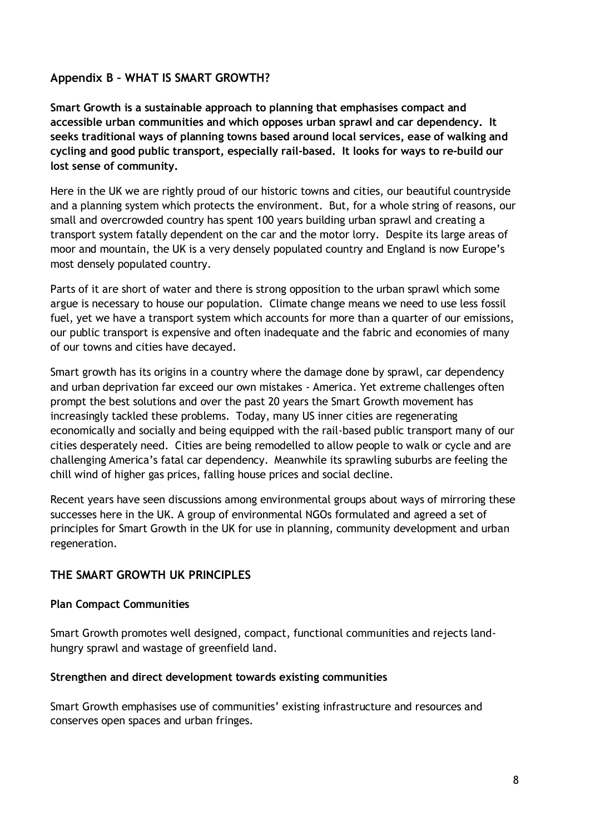## **Appendix B – WHAT IS SMART GROWTH?**

**Smart Growth is a sustainable approach to planning that emphasises compact and accessible urban communities and which opposes urban sprawl and car dependency. It seeks traditional ways of planning towns based around local services, ease of walking and cycling and good public transport, especially rail-based. It looks for ways to re-build our lost sense of community.**

Here in the UK we are rightly proud of our historic towns and cities, our beautiful countryside and a planning system which protects the environment. But, for a whole string of reasons, our small and overcrowded country has spent 100 years building urban sprawl and creating a transport system fatally dependent on the car and the motor lorry. Despite its large areas of moor and mountain, the UK is a very densely populated country and England is now Europe's most densely populated country.

Parts of it are short of water and there is strong opposition to the urban sprawl which some argue is necessary to house our population. Climate change means we need to use less fossil fuel, yet we have a transport system which accounts for more than a quarter of our emissions, our public transport is expensive and often inadequate and the fabric and economies of many of our towns and cities have decayed.

Smart growth has its origins in a country where the damage done by sprawl, car dependency and urban deprivation far exceed our own mistakes - America. Yet extreme challenges often prompt the best solutions and over the past 20 years the Smart Growth movement has increasingly tackled these problems. Today, many US inner cities are regenerating economically and socially and being equipped with the rail-based public transport many of our cities desperately need. Cities are being remodelled to allow people to walk or cycle and are challenging America's fatal car dependency. Meanwhile its sprawling suburbs are feeling the chill wind of higher gas prices, falling house prices and social decline.

Recent years have seen discussions among environmental groups about ways of mirroring these successes here in the UK. A group of environmental NGOs formulated and agreed a set of principles for Smart Growth in the UK for use in planning, community development and urban regeneration.

## **THE SMART GROWTH UK PRINCIPLES**

### **Plan Compact Communities**

Smart Growth promotes well designed, compact, functional communities and rejects landhungry sprawl and wastage of greenfield land.

#### **Strengthen and direct development towards existing communities**

Smart Growth emphasises use of communities' existing infrastructure and resources and conserves open spaces and urban fringes.